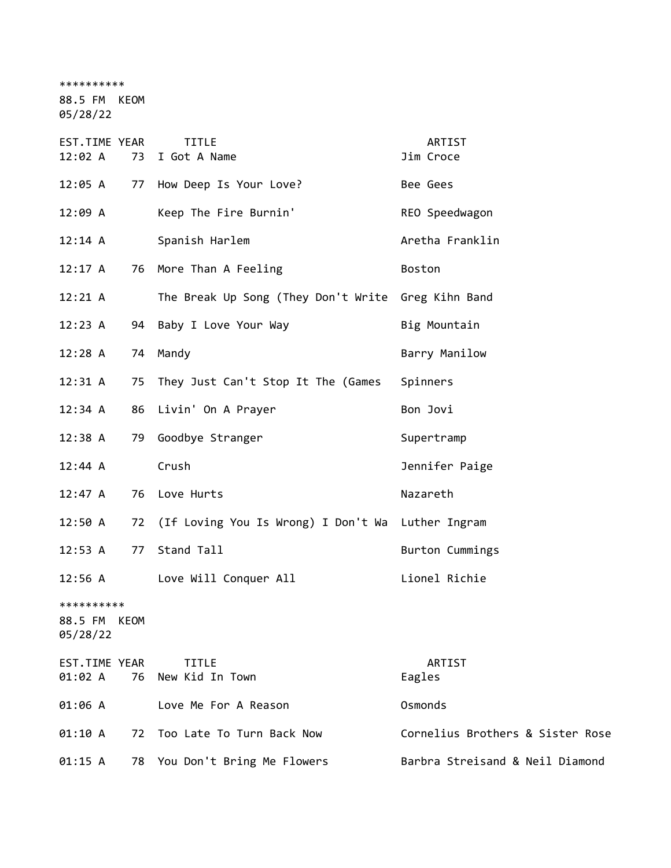\*\*\*\*\*\*\*\*\*\*

88.5 FM KEOM

05/28/22

| EST.TIME YEAR<br>12:02 A               | 73 | <b>TITLE</b><br>I Got A Name                         | ARTIST<br>Jim Croce              |
|----------------------------------------|----|------------------------------------------------------|----------------------------------|
| 12:05 A                                |    | 77 How Deep Is Your Love?                            | Bee Gees                         |
| 12:09A                                 |    | Keep The Fire Burnin'                                | REO Speedwagon                   |
| 12:14 A                                |    | Spanish Harlem                                       | Aretha Franklin                  |
| 12:17 A                                |    | 76 More Than A Feeling                               | Boston                           |
| $12:21 \; A$                           |    | The Break Up Song (They Don't Write Greg Kihn Band   |                                  |
| 12:23 A                                |    | 94 Baby I Love Your Way                              | Big Mountain                     |
| 12:28 A                                | 74 | Mandy                                                | Barry Manilow                    |
| 12:31 A                                |    | 75 They Just Can't Stop It The (Games                | Spinners                         |
| 12:34 A                                |    | 86 Livin' On A Prayer                                | Bon Jovi                         |
| 12:38A                                 |    | 79 Goodbye Stranger                                  | Supertramp                       |
| 12:44 A                                |    | Crush                                                | Jennifer Paige                   |
| 12:47 A                                |    | 76 Love Hurts                                        | Nazareth                         |
| 12:50 A                                |    | 72 (If Loving You Is Wrong) I Don't Wa Luther Ingram |                                  |
| 12:53 A                                | 77 | Stand Tall                                           | Burton Cummings                  |
| 12:56 A                                |    | Love Will Conquer All                                | Lionel Richie                    |
| **********<br>88.5 FM KEOM<br>05/28/22 |    |                                                      |                                  |
| EST.TIME YEAR<br>01:02 A               | 76 | <b>TITLE</b><br>New Kid In Town                      | ARTIST<br>Eagles                 |
| 01:06 A                                |    | Love Me For A Reason                                 | Osmonds                          |
| 01:10 A                                | 72 | Too Late To Turn Back Now                            | Cornelius Brothers & Sister Rose |
| 01:15 A                                | 78 | You Don't Bring Me Flowers                           | Barbra Streisand & Neil Diamond  |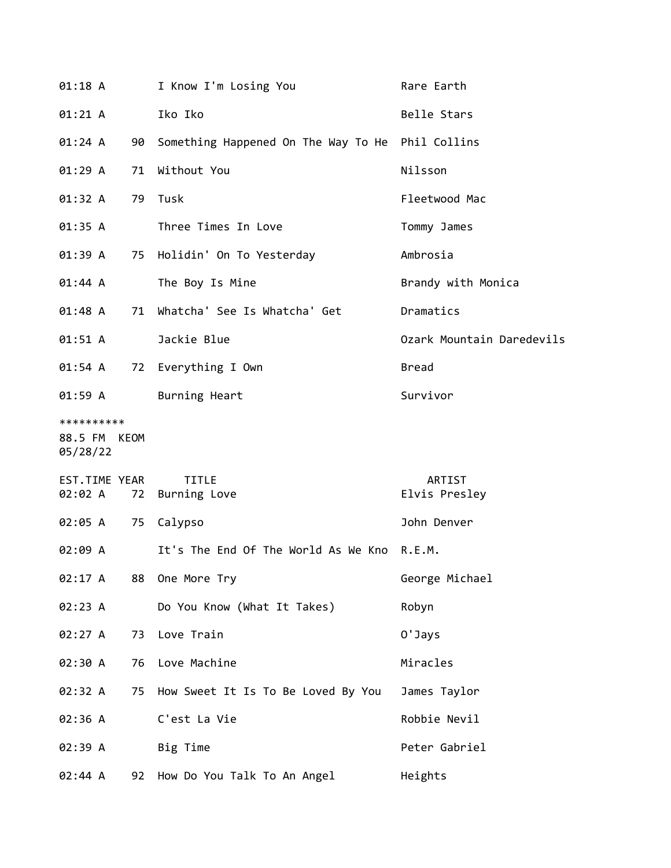| 01:18 A                                |    | I Know I'm Losing You                            | Rare Earth                |
|----------------------------------------|----|--------------------------------------------------|---------------------------|
| 01:21 A                                |    | Iko Iko                                          | Belle Stars               |
| 01:24 A                                | 90 | Something Happened On The Way To He Phil Collins |                           |
| 01:29A                                 | 71 | Without You                                      | Nilsson                   |
| 01:32 A                                | 79 | Tusk                                             | Fleetwood Mac             |
| 01:35 A                                |    | Three Times In Love                              | Tommy James               |
| 01:39 A                                | 75 | Holidin' On To Yesterday                         | Ambrosia                  |
| 01:44 A                                |    | The Boy Is Mine                                  | Brandy with Monica        |
| 01:48 A                                | 71 | Whatcha' See Is Whatcha' Get                     | Dramatics                 |
| 01:51 A                                |    | Jackie Blue                                      | Ozark Mountain Daredevils |
| 01:54 A                                |    | 72 Everything I Own                              | <b>Bread</b>              |
| 01:59 A                                |    | Burning Heart                                    | Survivor                  |
| **********<br>88.5 FM KEOM<br>05/28/22 |    |                                                  |                           |
| EST.TIME YEAR<br>02:02 A               | 72 | <b>TITLE</b><br>Burning Love                     | ARTIST<br>Elvis Presley   |
| 02:05 A                                | 75 | Calypso                                          | John Denver               |
| 02:09 A                                |    | It's The End Of The World As We Kno R.E.M.       |                           |
| 02:17 A                                | 88 | One More Try                                     | George Michael            |
| 02:23 A                                |    | Do You Know (What It Takes)                      | Robyn                     |
| 02:27 A                                | 73 | Love Train                                       | 0'Jays                    |
| 02:30 A                                | 76 | Love Machine                                     | Miracles                  |
| 02:32 A                                | 75 | How Sweet It Is To Be Loved By You               | James Taylor              |
| 02:36 A                                |    | C'est La Vie                                     | Robbie Nevil              |
| 02:39 A                                |    | Big Time                                         | Peter Gabriel             |
| 02:44 A                                | 92 | How Do You Talk To An Angel                      | Heights                   |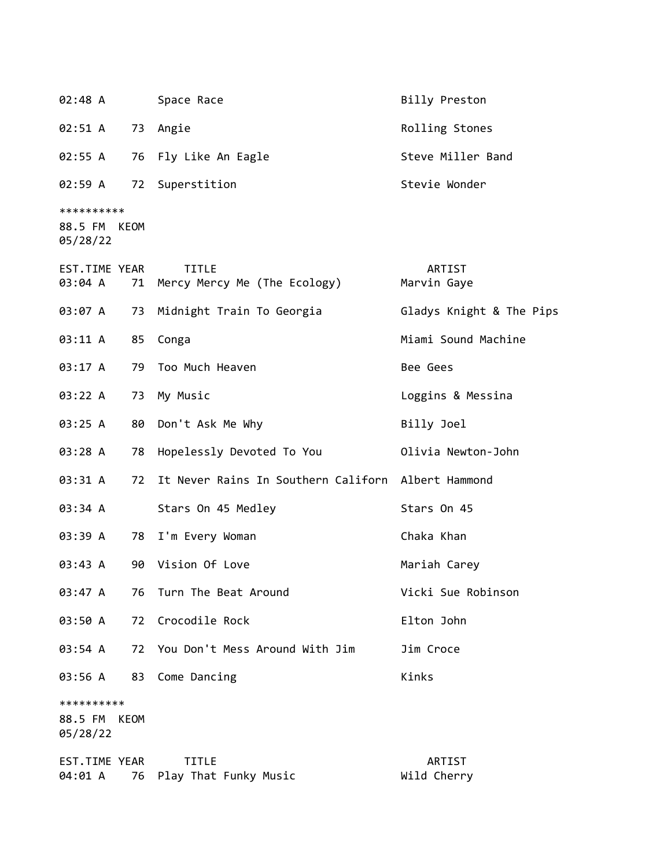| 02:48 A                                |      | Space Race                                         | Billy Preston            |
|----------------------------------------|------|----------------------------------------------------|--------------------------|
| 02:51 A                                | 73   | Angie                                              | Rolling Stones           |
| 02:55 A                                | 76   | Fly Like An Eagle                                  | Steve Miller Band        |
| 02:59 A                                | 72   | Superstition                                       | Stevie Wonder            |
| **********<br>88.5 FM KEOM<br>05/28/22 |      |                                                    |                          |
| EST.TIME YEAR<br>03:04 A               | 71   | <b>TITLE</b><br>Mercy Mercy Me (The Ecology)       | ARTIST<br>Marvin Gaye    |
| 03:07 A                                | 73   | Midnight Train To Georgia                          | Gladys Knight & The Pips |
| 03:11 A                                | 85   | Conga                                              | Miami Sound Machine      |
| 03:17 A                                | 79   | Too Much Heaven                                    | Bee Gees                 |
| 03:22 A                                | 73   | My Music                                           | Loggins & Messina        |
| 03:25 A                                | 80   | Don't Ask Me Why                                   | Billy Joel               |
| 03:28 A                                | 78   | Hopelessly Devoted To You                          | Olivia Newton-John       |
| 03:31 A                                | 72   | It Never Rains In Southern Californ Albert Hammond |                          |
| 03:34 A                                |      | Stars On 45 Medley                                 | Stars On 45              |
| 03:39 A                                |      | 78 I'm Every Woman                                 | Chaka Khan               |
| 03:43 A                                | 90   | Vision Of Love                                     | Mariah Carey             |
| 03:47 A                                | 76   | Turn The Beat Around                               | Vicki Sue Robinson       |
| 03:50 A                                | 72   | Crocodile Rock                                     | Elton John               |
| 03:54 A                                | 72   | You Don't Mess Around With Jim                     | Jim Croce                |
| 03:56 A                                | 83   | Come Dancing                                       | Kinks                    |
| **********<br>88.5 FM<br>05/28/22      | KEOM |                                                    |                          |
| EST.TIME YEAR<br>04:01 A               | 76   | <b>TITLE</b><br>Play That Funky Music              | ARTIST<br>Wild Cherry    |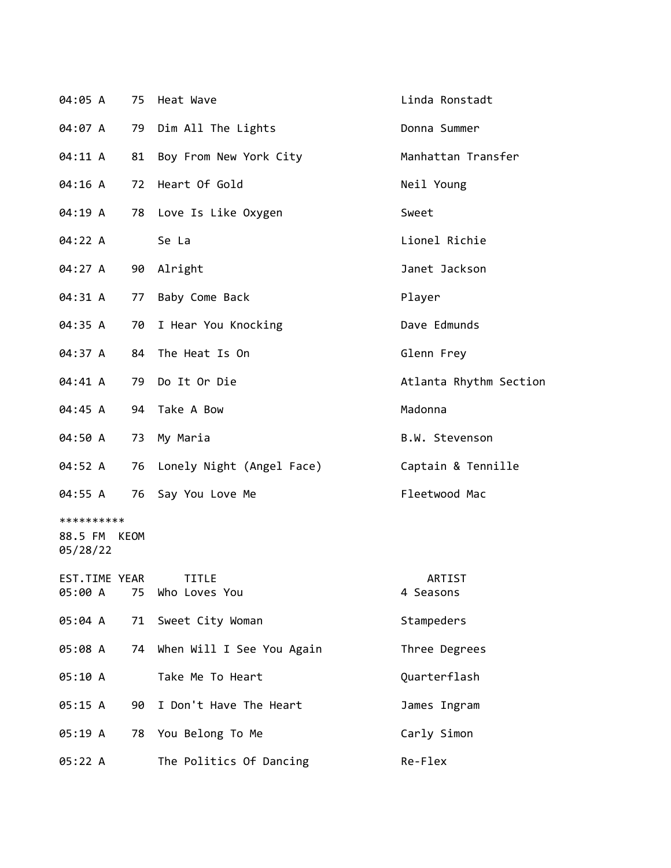| 04:05 A                           | 75   | Heat Wave                        | Linda Ronstadt         |
|-----------------------------------|------|----------------------------------|------------------------|
| 04:07 A                           | 79   | Dim All The Lights               | Donna Summer           |
| 04:11 A                           | 81   | Boy From New York City           | Manhattan Transfer     |
| 04:16 A                           | 72   | Heart Of Gold                    | Neil Young             |
| 04:19 A                           | 78   | Love Is Like Oxygen              | Sweet                  |
| 04:22 A                           |      | Se La                            | Lionel Richie          |
| 04:27 A                           | 90   | Alright                          | Janet Jackson          |
| 04:31 A                           | 77   | Baby Come Back                   | Player                 |
| 04:35 A                           | 70   | I Hear You Knocking              | Dave Edmunds           |
| 04:37 A                           | 84   | The Heat Is On                   | Glenn Frey             |
| 04:41 A                           | 79   | Do It Or Die                     | Atlanta Rhythm Section |
| 04:45 A                           | 94   | Take A Bow                       | Madonna                |
| 04:50 A                           | 73   | My Maria                         | B.W. Stevenson         |
| 04:52 A                           | 76   | Lonely Night (Angel Face)        | Captain & Tennille     |
| 04:55 A                           | 76   | Say You Love Me                  | Fleetwood Mac          |
| **********<br>88.5 FM<br>05/28/22 | KEOM |                                  |                        |
| EST.TIME YEAR<br>05:00 A          |      | <b>TTTIF</b><br>75 Who Loves You | ARTIST<br>4 Seasons    |
| 05:04 A                           |      | 71 Sweet City Woman              | Stampeders             |
| 05:08 A                           |      | 74 When Will I See You Again     | Three Degrees          |
| 05:10 A                           |      | Take Me To Heart                 | Quarterflash           |
| 05:15 A                           | 90   | I Don't Have The Heart           | James Ingram           |
| 05:19 A                           | 78   | You Belong To Me                 | Carly Simon            |
| 05:22 A                           |      | The Politics Of Dancing          | Re-Flex                |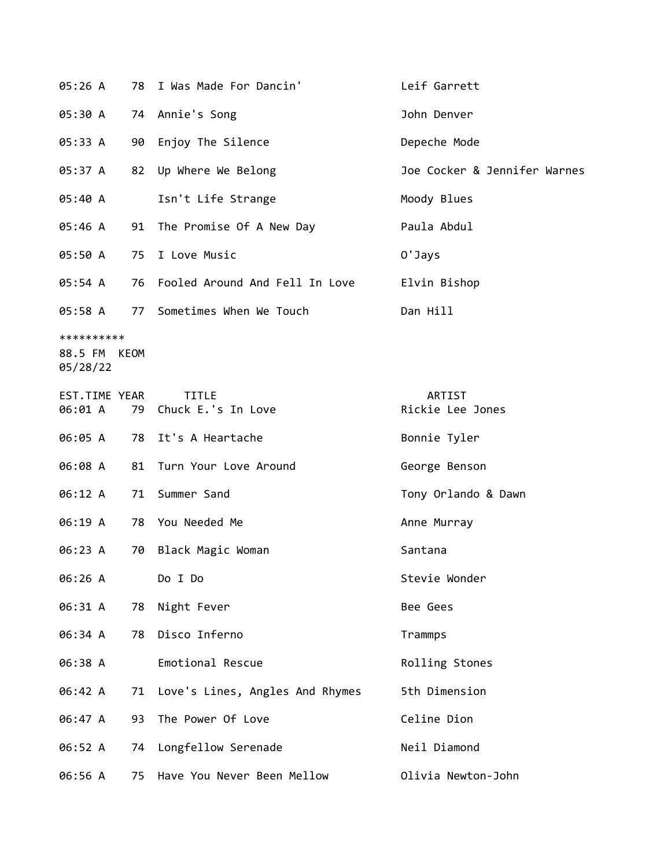| 05:26 A                                |    | 78 I Was Made For Dancin'             | Leif Garrett                 |
|----------------------------------------|----|---------------------------------------|------------------------------|
| 05:30 A                                |    | 74 Annie's Song                       | John Denver                  |
| 05:33 A                                |    | 90 Enjoy The Silence                  | Depeche Mode                 |
| 05:37 A                                |    | 82 Up Where We Belong                 | Joe Cocker & Jennifer Warnes |
| 05:40 A                                |    | Isn't Life Strange                    | Moody Blues                  |
| 05:46 A                                |    | 91 The Promise Of A New Day           | Paula Abdul                  |
| 05:50 A                                |    | 75 I Love Music                       | O'Jays                       |
| 05:54 A                                |    | 76 Fooled Around And Fell In Love     | Elvin Bishop                 |
| 05:58 A                                |    | 77 Sometimes When We Touch            | Dan Hill                     |
| **********<br>88.5 FM KEOM<br>05/28/22 |    |                                       |                              |
| EST.TIME YEAR<br>06:01 A               |    | <b>TITLE</b><br>79 Chuck E.'s In Love | ARTIST<br>Rickie Lee Jones   |
| 06:05 A                                |    | 78 It's A Heartache                   | Bonnie Tyler                 |
| 06:08 A                                |    | 81 Turn Your Love Around              | George Benson                |
| 06:12 A                                |    | 71 Summer Sand                        | Tony Orlando & Dawn          |
| 06:19 A                                |    | 78 You Needed Me                      | Anne Murray                  |
| 06:23 A                                | 70 | Black Magic Woman                     | Santana                      |
| 06:26 A                                |    | Do I Do                               | Stevie Wonder                |
| 06:31 A                                | 78 | Night Fever                           | Bee Gees                     |
| 06:34 A                                | 78 | Disco Inferno                         | Trammps                      |
| 06:38 A                                |    | Emotional Rescue                      | Rolling Stones               |
| 06:42 A                                | 71 | Love's Lines, Angles And Rhymes       | 5th Dimension                |
| 06:47 A                                | 93 | The Power Of Love                     | Celine Dion                  |
| 06:52 A                                | 74 | Longfellow Serenade                   | Neil Diamond                 |
| 06:56 A                                | 75 | Have You Never Been Mellow            | Olivia Newton-John           |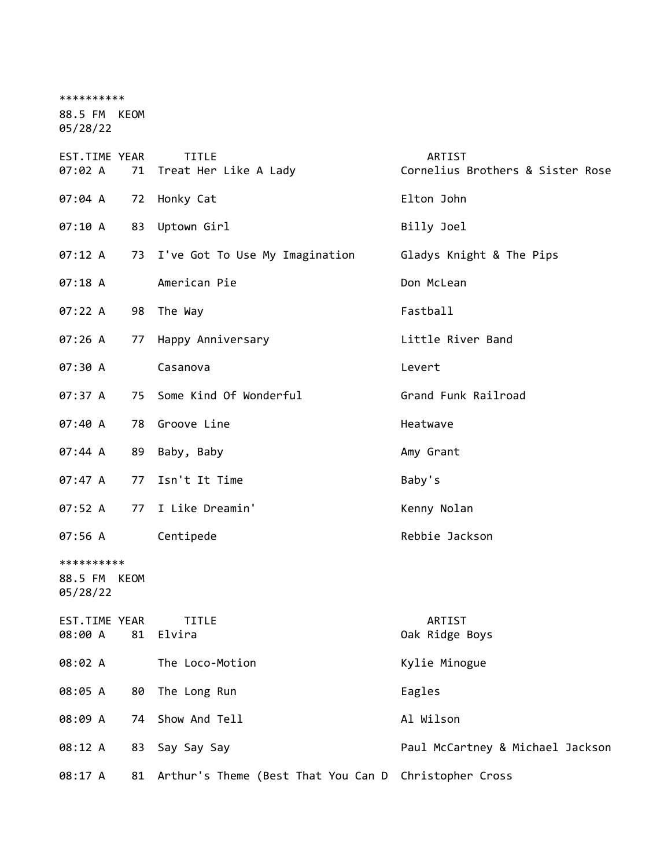| **********                             |    |                                                       |                                                   |
|----------------------------------------|----|-------------------------------------------------------|---------------------------------------------------|
| 88.5 FM KEOM<br>05/28/22               |    |                                                       |                                                   |
| EST.TIME YEAR<br>07:02 A               |    | <b>TITLE</b><br>71 Treat Her Like A Lady              | <b>ARTIST</b><br>Cornelius Brothers & Sister Rose |
| 07:04 A                                |    | 72 Honky Cat                                          | Elton John                                        |
| 07:10 A                                |    | 83 Uptown Girl                                        | Billy Joel                                        |
| 07:12 A                                |    | 73 I've Got To Use My Imagination                     | Gladys Knight & The Pips                          |
| $07:18$ A                              |    | American Pie                                          | Don McLean                                        |
| 07:22 A                                |    | 98 The Way                                            | Fastball                                          |
| 07:26A                                 |    | 77 Happy Anniversary                                  | Little River Band                                 |
| 07:30 A                                |    | Casanova                                              | Levert                                            |
| 07:37 A                                |    | 75 Some Kind Of Wonderful                             | Grand Funk Railroad                               |
| 07:40 A                                |    | 78 Groove Line                                        | Heatwave                                          |
| 07:44 A                                |    | 89 Baby, Baby                                         | Amy Grant                                         |
| 07:47A                                 | 77 | Isn't It Time                                         | Baby's                                            |
| 07:52 A                                |    | 77 I Like Dreamin'                                    | Kenny Nolan                                       |
| 07:56 A                                |    | Centipede                                             | Rebbie Jackson                                    |
| **********<br>88.5 FM KEOM<br>05/28/22 |    |                                                       |                                                   |
| EST.TIME YEAR<br>08:00 A               | 81 | <b>TITLE</b><br>Elvira                                | ARTIST<br>Oak Ridge Boys                          |
| 08:02 A                                |    | The Loco-Motion                                       | Kylie Minogue                                     |
| 08:05 A                                | 80 | The Long Run                                          | Eagles                                            |
| 08:09 A                                | 74 | Show And Tell                                         | Al Wilson                                         |
| 08:12 A                                | 83 | Say Say Say                                           | Paul McCartney & Michael Jackson                  |
| 08:17 A                                | 81 | Arthur's Theme (Best That You Can D Christopher Cross |                                                   |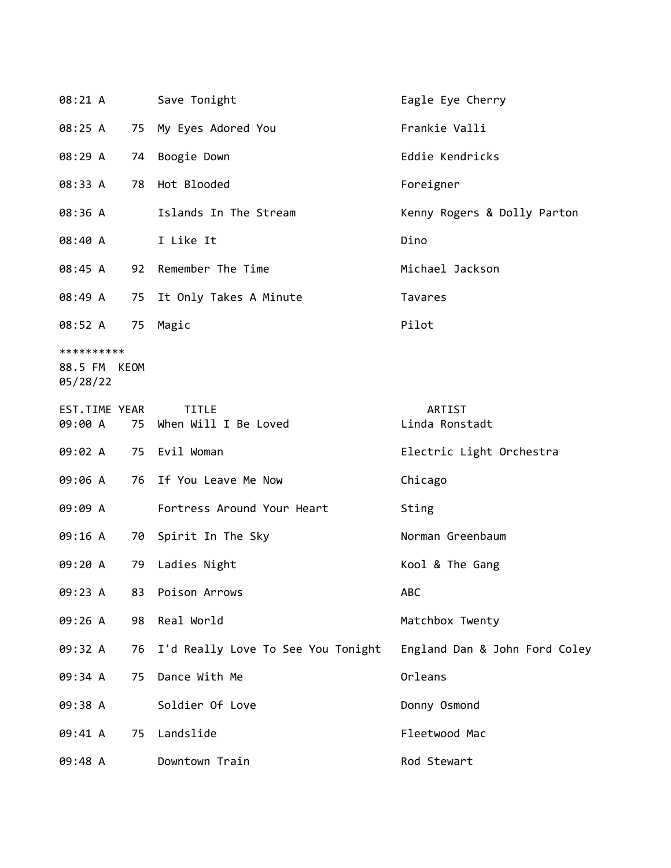| 08:21 A                                |    | Save Tonight                            | Eagle Eye Cherry              |
|----------------------------------------|----|-----------------------------------------|-------------------------------|
| 08:25 A                                |    | 75 My Eyes Adored You                   | Frankie Valli                 |
| 08:29 A                                | 74 | Boogie Down                             | Eddie Kendricks               |
| 08:33 A                                | 78 | Hot Blooded                             | Foreigner                     |
| 08:36 A                                |    | Islands In The Stream                   | Kenny Rogers & Dolly Parton   |
| 08:40 A                                |    | I Like It                               | Dino                          |
| 08:45 A                                |    | 92 Remember The Time                    | Michael Jackson               |
| 08:49 A                                |    | 75 It Only Takes A Minute               | Tavares                       |
| 08:52 A                                | 75 | Magic                                   | Pilot                         |
| **********<br>88.5 FM KEOM<br>05/28/22 |    |                                         |                               |
| EST.TIME YEAR<br>09:00 A               |    | <b>TITLE</b><br>75 When Will I Be Loved | ARTIST<br>Linda Ronstadt      |
| 09:02 A                                |    | 75 Evil Woman                           | Electric Light Orchestra      |
| 09:06 A                                |    | 76 If You Leave Me Now                  | Chicago                       |
| 09:09 A                                |    | Fortress Around Your Heart              | Sting                         |
| 09:16 A                                |    | 70 Spirit In The Sky                    | Norman Greenbaum              |
| 09:20 A                                |    | 79 Ladies Night                         | Kool & The Gang               |
| 09:23 A                                | 83 | Poison Arrows                           | ABC                           |
| 09:26 A                                | 98 | Real World                              | Matchbox Twenty               |
| 09:32 A                                |    | 76 I'd Really Love To See You Tonight   | England Dan & John Ford Coley |
| 09:34 A                                | 75 | Dance With Me                           | Orleans                       |
| 09:38 A                                |    | Soldier Of Love                         | Donny Osmond                  |
| 09:41 A                                | 75 | Landslide                               | Fleetwood Mac                 |
| 09:48 A                                |    | Downtown Train                          | Rod Stewart                   |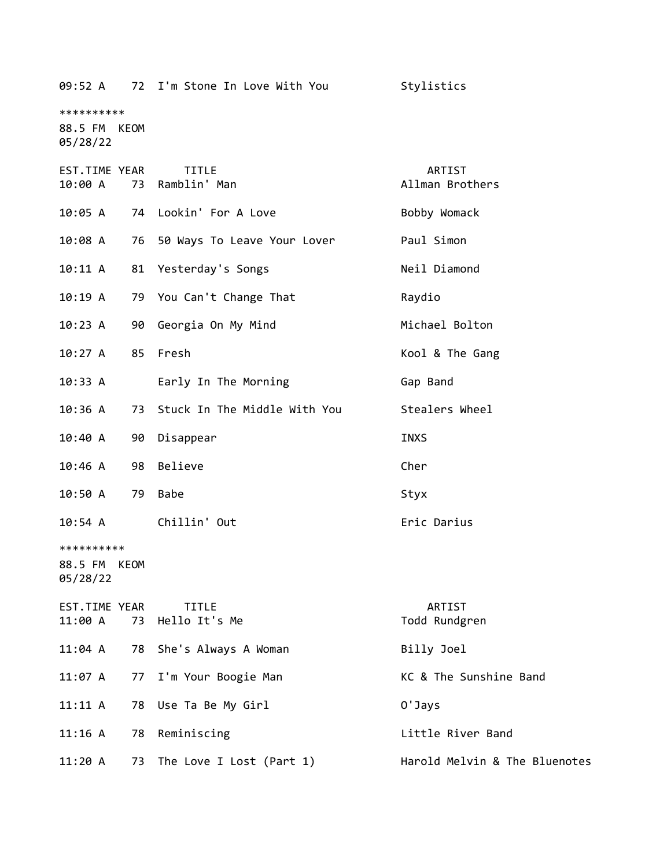| 09:52 A                                |    | 72 I'm Stone In Love With You   | Stylistics                    |
|----------------------------------------|----|---------------------------------|-------------------------------|
| **********<br>88.5 FM KEOM<br>05/28/22 |    |                                 |                               |
| EST.TIME YEAR<br>10:00 A               |    | <b>TITLE</b><br>73 Ramblin' Man | ARTIST<br>Allman Brothers     |
| 10:05 A                                | 74 | Lookin' For A Love              | Bobby Womack                  |
| $10:08$ A                              |    | 76 50 Ways To Leave Your Lover  | Paul Simon                    |
| 10:11 A                                | 81 | Yesterday's Songs               | Neil Diamond                  |
| 10:19 A                                |    | 79 You Can't Change That        | Raydio                        |
| $10:23$ A                              |    | 90 Georgia On My Mind           | Michael Bolton                |
| 10:27 A                                | 85 | Fresh                           | Kool & The Gang               |
| 10:33 A                                |    | Early In The Morning            | Gap Band                      |
| $10:36$ A                              | 73 | Stuck In The Middle With You    | Stealers Wheel                |
| 10:40 A                                | 90 | Disappear                       | <b>INXS</b>                   |
| 10:46 A                                | 98 | Believe                         | Cher                          |
| 10:50 A                                | 79 | <b>Babe</b>                     | Styx                          |
| 10:54 A                                |    | Chillin' Out                    | Eric Darius                   |
| **********<br>88.5 FM KEOM<br>05/28/22 |    |                                 |                               |
| EST.TIME YEAR<br>11:00 A               | 73 | <b>TITLE</b><br>Hello It's Me   | ARTIST<br>Todd Rundgren       |
| $11:04$ A                              | 78 | She's Always A Woman            | Billy Joel                    |
| 11:07 A                                | 77 | I'm Your Boogie Man             | KC & The Sunshine Band        |
| 11:11 A                                | 78 | Use Ta Be My Girl               | 0'Jays                        |
| 11:16 A                                | 78 | Reminiscing                     | Little River Band             |
| 11:20 A                                | 73 | The Love I Lost (Part 1)        | Harold Melvin & The Bluenotes |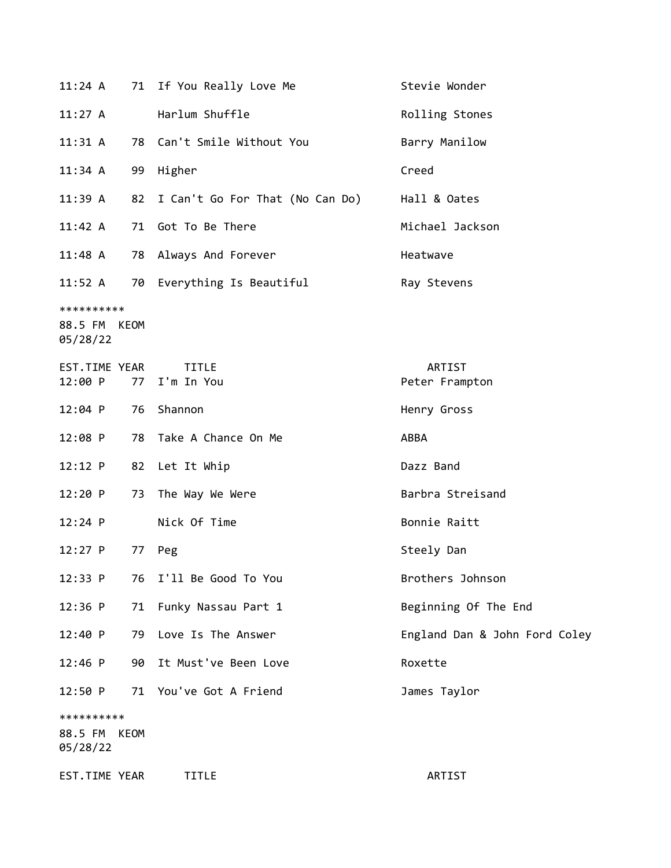| $11:24$ A                              |             | 71 If You Really Love Me           | Stevie Wonder                 |
|----------------------------------------|-------------|------------------------------------|-------------------------------|
| 11:27 A                                |             | Harlum Shuffle                     | Rolling Stones                |
| 11:31 A                                |             | 78 Can't Smile Without You         | Barry Manilow                 |
| 11:34 A                                | 99          | Higher                             | Creed                         |
| 11:39A                                 |             | 82 I Can't Go For That (No Can Do) | Hall & Oates                  |
| 11:42 A                                |             | 71 Got To Be There                 | Michael Jackson               |
| $11:48$ A                              |             | 78 Always And Forever              | Heatwave                      |
| 11:52 A                                |             | 70 Everything Is Beautiful         | Ray Stevens                   |
| **********<br>88.5 FM KEOM<br>05/28/22 |             |                                    |                               |
| EST.TIME YEAR<br>12:00 P               | 77          | <b>TITLE</b><br>I'm In You         | ARTIST<br>Peter Frampton      |
| $12:04$ P                              | 76          | Shannon                            | Henry Gross                   |
| $12:08$ P                              |             | 78 Take A Chance On Me             | ABBA                          |
| 12:12 P                                | 82          | Let It Whip                        | Dazz Band                     |
| 12:20 P                                | 73          | The Way We Were                    | Barbra Streisand              |
| $12:24$ P                              |             | Nick Of Time                       | Bonnie Raitt                  |
| $12:27$ P                              | 77          | Peg                                | Steely Dan                    |
| 12:33 P                                | 76          | I'll Be Good To You                | Brothers Johnson              |
| 12:36 P                                | 71          | Funky Nassau Part 1                | Beginning Of The End          |
| 12:40 P                                | 79          | Love Is The Answer                 | England Dan & John Ford Coley |
| 12:46 P                                | 90          | It Must've Been Love               | Roxette                       |
| 12:50 P                                | 71          | You've Got A Friend                | James Taylor                  |
| **********<br>88.5 FM<br>05/28/22      | <b>KEOM</b> |                                    |                               |
| EST.TIME YEAR                          |             | TITLE                              | ARTIST                        |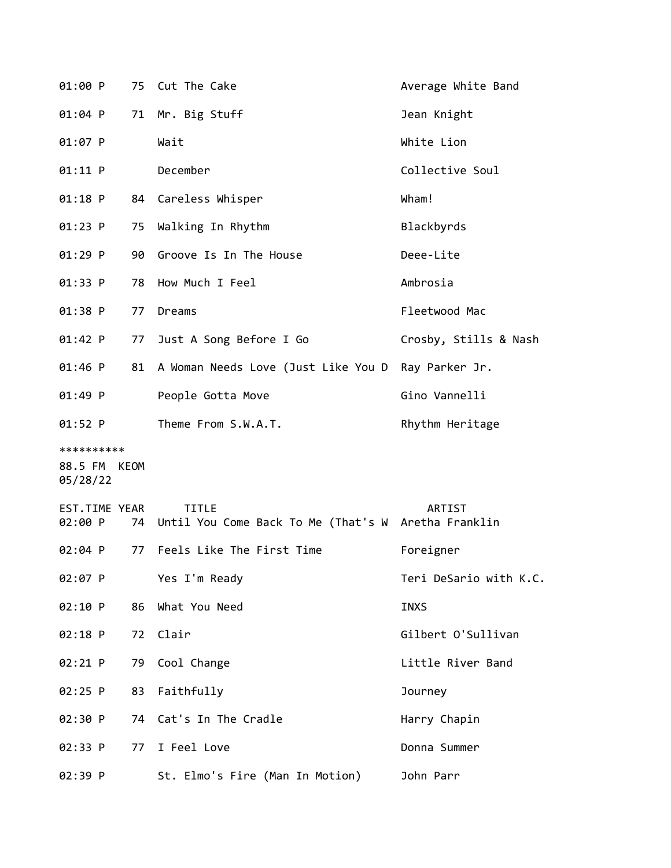| 01:00 P                                |    | 75 Cut The Cake                                                        | Average White Band     |
|----------------------------------------|----|------------------------------------------------------------------------|------------------------|
| 01:04 P                                |    | 71 Mr. Big Stuff                                                       | Jean Knight            |
| 01:07 P                                |    | Wait                                                                   | White Lion             |
| 01:11 P                                |    | December                                                               | Collective Soul        |
| $01:18$ P                              |    | 84 Careless Whisper                                                    | Wham!                  |
| $01:23$ P                              | 75 | Walking In Rhythm                                                      | Blackbyrds             |
| $01:29$ P                              | 90 | Groove Is In The House                                                 | Deee-Lite              |
| 01:33 P                                | 78 | How Much I Feel                                                        | Ambrosia               |
| 01:38 P                                | 77 | Dreams                                                                 | Fleetwood Mac          |
| $01:42$ P                              |    | 77 Just A Song Before I Go                                             | Crosby, Stills & Nash  |
| $01:46$ P                              |    | 81 A Woman Needs Love (Just Like You D Ray Parker Jr.                  |                        |
| 01:49 P                                |    | People Gotta Move                                                      | Gino Vannelli          |
| $01:52$ P                              |    | Theme From S.W.A.T.                                                    | Rhythm Heritage        |
| **********<br>88.5 FM KEOM<br>05/28/22 |    |                                                                        |                        |
| EST.TIME YEAR<br>02:00 P               |    | <b>TITLE</b><br>74 Until You Come Back To Me (That's W Aretha Franklin | ARTIST                 |
| 02:04 P                                | 77 | Feels Like The First Time                                              | Foreigner              |
| 02:07 P                                |    | Yes I'm Ready                                                          | Teri DeSario with K.C. |
| 02:10 P                                | 86 | What You Need                                                          | INXS                   |
| 02:18 P                                | 72 | Clair                                                                  | Gilbert O'Sullivan     |
| 02:21 P                                |    | 79 Cool Change                                                         | Little River Band      |
| 02:25 P                                | 83 | Faithfully                                                             | Journey                |
| 02:30 P                                |    | 74 Cat's In The Cradle                                                 | Harry Chapin           |
| 02:33 P                                |    | 77 I Feel Love                                                         | Donna Summer           |
| 02:39 P                                |    | St. Elmo's Fire (Man In Motion)                                        | John Parr              |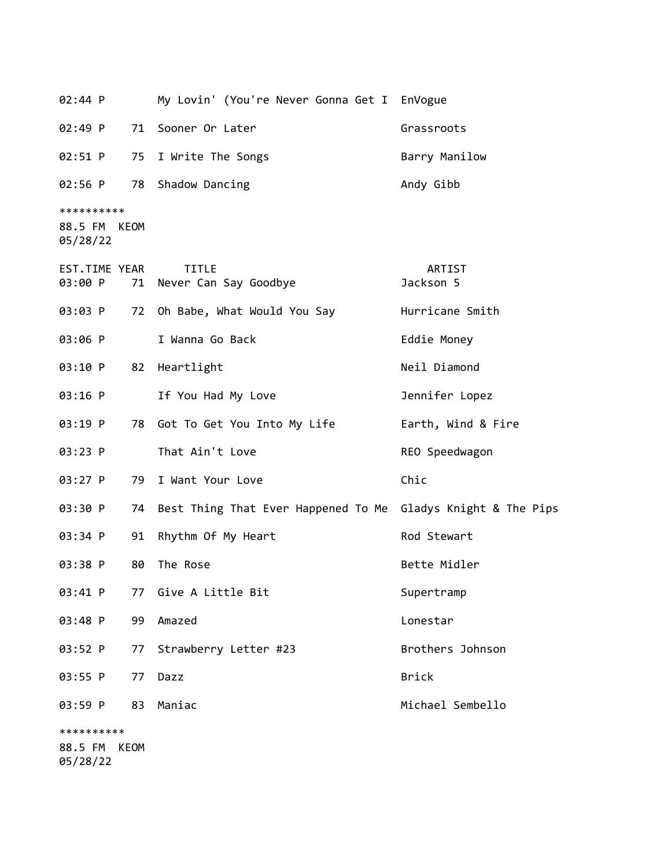| 02:44 P                           |      | My Lovin' (You're Never Gonna Get I EnVogue                  |                     |
|-----------------------------------|------|--------------------------------------------------------------|---------------------|
| 02:49 P                           |      | 71 Sooner Or Later                                           | Grassroots          |
| 02:51 P                           | 75   | I Write The Songs                                            | Barry Manilow       |
| 02:56 P                           | 78   | Shadow Dancing                                               | Andy Gibb           |
| **********<br>88.5 FM<br>05/28/22 | KEOM |                                                              |                     |
| EST.TIME YEAR<br>03:00 P          |      | <b>TITLE</b><br>71 Never Can Say Goodbye                     | ARTIST<br>Jackson 5 |
| 03:03 P                           |      | 72 Oh Babe, What Would You Say                               | Hurricane Smith     |
| 03:06 P                           |      | I Wanna Go Back                                              | Eddie Money         |
| 03:10 P                           | 82   | Heartlight                                                   | Neil Diamond        |
| 03:16 P                           |      | If You Had My Love                                           | Jennifer Lopez      |
| 03:19 P                           |      | 78 Got To Get You Into My Life                               | Earth, Wind & Fire  |
| 03:23 P                           |      | That Ain't Love                                              | REO Speedwagon      |
| 03:27 P                           | 79   | I Want Your Love                                             | Chic                |
| 03:30 P                           | 74   | Best Thing That Ever Happened To Me Gladys Knight & The Pips |                     |
| 03:34 P                           | 91   | Rhythm Of My Heart                                           | Rod Stewart         |
| 03:38 P                           | 80   | The Rose                                                     | Bette Midler        |
| 03:41 P                           |      | 77 Give A Little Bit                                         | Supertramp          |
| 03:48 P                           | 99   | Amazed                                                       | Lonestar            |
| 03:52 P                           | 77   | Strawberry Letter #23                                        | Brothers Johnson    |
| 03:55 P                           | 77   | Dazz                                                         | <b>Brick</b>        |
| 03:59 P                           | 83   | Maniac                                                       | Michael Sembello    |
| **********                        |      |                                                              |                     |
| 88.5 FM                           | KEOM |                                                              |                     |

05/28/22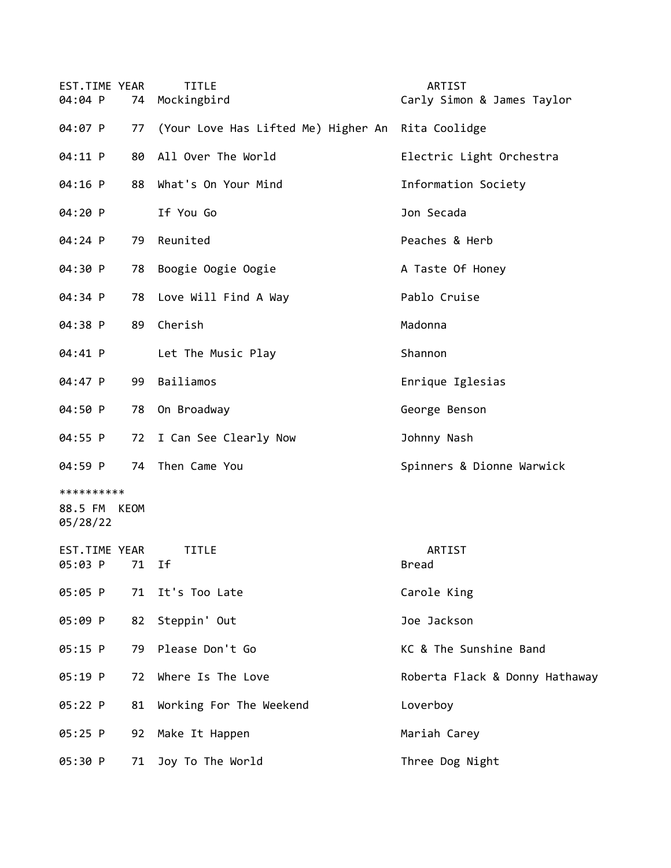| EST.TIME YEAR<br>04:04 P               | 74 | <b>TITLE</b><br>Mockingbird                       | ARTIST<br>Carly Simon & James Taylor |
|----------------------------------------|----|---------------------------------------------------|--------------------------------------|
| 04:07 P                                | 77 | (Your Love Has Lifted Me) Higher An Rita Coolidge |                                      |
| 04:11 P                                | 80 | All Over The World                                | Electric Light Orchestra             |
| 04:16 P                                | 88 | What's On Your Mind                               | Information Society                  |
| 04:20 P                                |    | If You Go                                         | Jon Secada                           |
| 04:24 P                                | 79 | Reunited                                          | Peaches & Herb                       |
| 04:30 P                                | 78 | Boogie Oogie Oogie                                | A Taste Of Honey                     |
| 04:34 P                                | 78 | Love Will Find A Way                              | Pablo Cruise                         |
| 04:38 P                                | 89 | Cherish                                           | Madonna                              |
| 04:41 P                                |    | Let The Music Play                                | Shannon                              |
| 04:47 P                                | 99 | Bailiamos                                         | Enrique Iglesias                     |
| 04:50 P                                | 78 | On Broadway                                       | George Benson                        |
| 04:55 P                                | 72 | I Can See Clearly Now                             | Johnny Nash                          |
| 04:59 P                                | 74 | Then Came You                                     | Spinners & Dionne Warwick            |
| **********<br>88.5 FM KEOM<br>05/28/22 |    |                                                   |                                      |
| EST.TIME YEAR<br>05:03 P 71 If         |    | <b>TITLE</b>                                      | ARTIST<br>Bread                      |
| 05:05 P                                |    | 71 It's Too Late                                  | Carole King                          |
| 05:09 P                                | 82 | Steppin' Out                                      | Joe Jackson                          |
| 05:15 P                                | 79 | Please Don't Go                                   | KC & The Sunshine Band               |
| 05:19 P                                | 72 | Where Is The Love                                 | Roberta Flack & Donny Hathaway       |
| 05:22 P                                | 81 | Working For The Weekend                           | Loverboy                             |
| $05:25$ P                              | 92 | Make It Happen                                    | Mariah Carey                         |
| 05:30 P                                | 71 | Joy To The World                                  | Three Dog Night                      |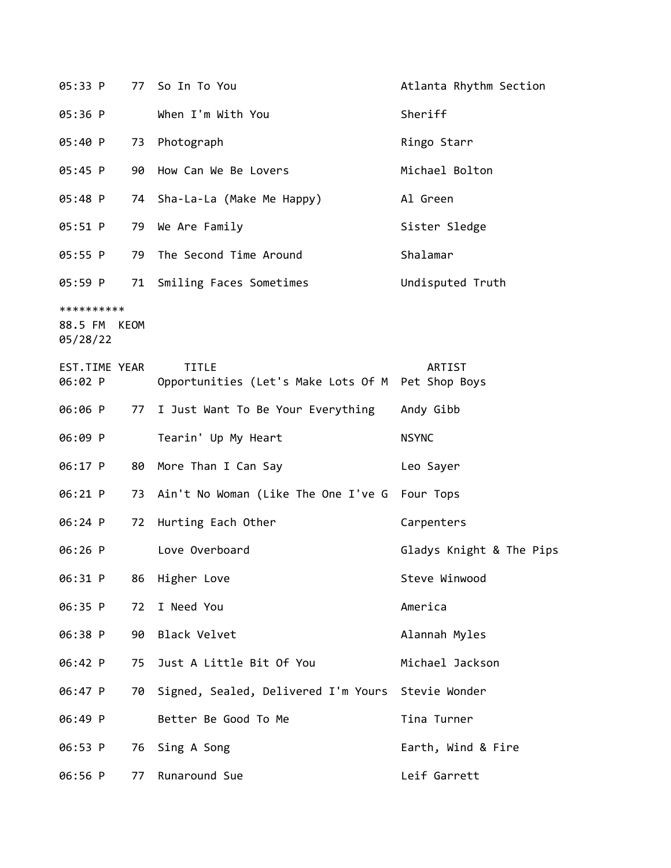| 05:33 P                                |    | 77 So In To You                                                   | Atlanta Rhythm Section   |
|----------------------------------------|----|-------------------------------------------------------------------|--------------------------|
| 05:36 P                                |    | When I'm With You                                                 | Sheriff                  |
| 05:40 P                                | 73 | Photograph                                                        | Ringo Starr              |
| 05:45 P                                | 90 | How Can We Be Lovers                                              | Michael Bolton           |
| 05:48 P                                | 74 | Sha-La-La (Make Me Happy)                                         | Al Green                 |
| 05:51 P                                | 79 | We Are Family                                                     | Sister Sledge            |
| 05:55 P                                | 79 | The Second Time Around                                            | Shalamar                 |
| 05:59 P                                | 71 | Smiling Faces Sometimes                                           | Undisputed Truth         |
| **********<br>88.5 FM KEOM<br>05/28/22 |    |                                                                   |                          |
| EST.TIME YEAR<br>06:02 P               |    | <b>TITLE</b><br>Opportunities (Let's Make Lots Of M Pet Shop Boys | ARTIST                   |
| 06:06 P                                | 77 | I Just Want To Be Your Everything                                 | Andy Gibb                |
|                                        |    |                                                                   |                          |
| 06:09 P                                |    | Tearin' Up My Heart                                               | <b>NSYNC</b>             |
| 06:17 P                                | 80 | More Than I Can Say                                               | Leo Sayer                |
| 06:21 P                                | 73 | Ain't No Woman (Like The One I've G                               | Four Tops                |
| 06:24 P                                | 72 | Hurting Each Other                                                | Carpenters               |
| 06:26 P                                |    | Love Overboard                                                    | Gladys Knight & The Pips |
| 06:31 P                                | 86 | Higher Love                                                       | Steve Winwood            |
| 06:35 P                                | 72 | I Need You                                                        | America                  |
| 06:38 P                                | 90 | Black Velvet                                                      | Alannah Myles            |
| 06:42 P                                | 75 | Just A Little Bit Of You                                          | Michael Jackson          |
| 06:47 P                                | 70 | Signed, Sealed, Delivered I'm Yours Stevie Wonder                 |                          |
| 06:49 P                                |    | Better Be Good To Me                                              | Tina Turner              |
| 06:53 P                                | 76 | Sing A Song                                                       | Earth, Wind & Fire       |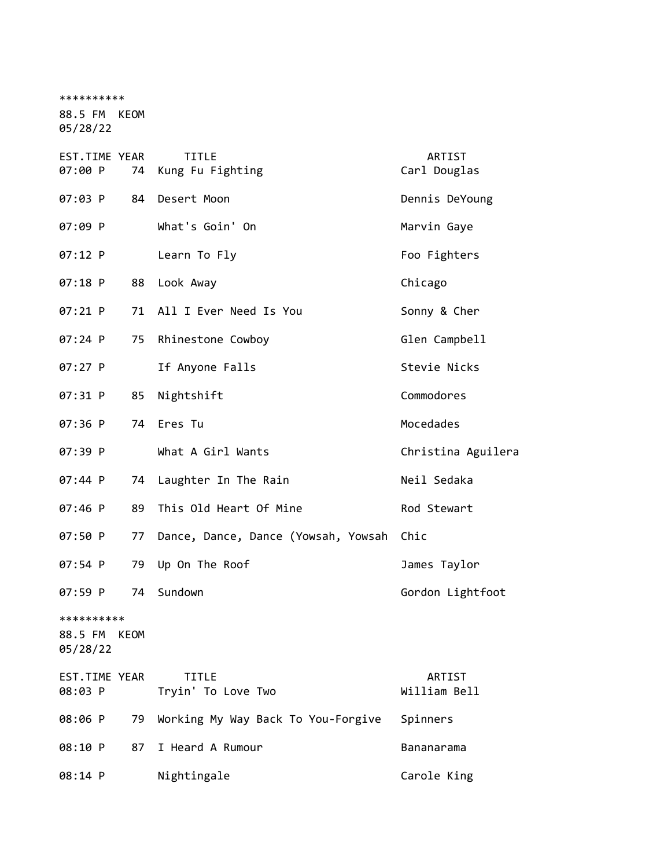| **********                             |    |                                     |                        |
|----------------------------------------|----|-------------------------------------|------------------------|
| 88.5 FM KEOM<br>05/28/22               |    |                                     |                        |
| EST.TIME YEAR<br>07:00 P               | 74 | <b>TITLE</b><br>Kung Fu Fighting    | ARTIST<br>Carl Douglas |
| 07:03 P                                | 84 | Desert Moon                         | Dennis DeYoung         |
| 07:09 P                                |    | What's Goin' On                     | Marvin Gaye            |
| 07:12 P                                |    | Learn To Fly                        | Foo Fighters           |
| 07:18 P                                | 88 | Look Away                           | Chicago                |
| 07:21 P                                |    | 71 All I Ever Need Is You           | Sonny & Cher           |
| 07:24 P                                | 75 | Rhinestone Cowboy                   | Glen Campbell          |
| 07:27 P                                |    | If Anyone Falls                     | Stevie Nicks           |
| 07:31 P                                | 85 | Nightshift                          | Commodores             |
| 07:36 P                                |    | 74 Eres Tu                          | Mocedades              |
| 07:39 P                                |    | What A Girl Wants                   | Christina Aguilera     |
| 07:44 P                                | 74 | Laughter In The Rain                | Neil Sedaka            |
| 07:46 P                                | 89 | This Old Heart Of Mine              | Rod Stewart            |
| 07:50 P                                | 77 | Dance, Dance, Dance (Yowsah, Yowsah | Chic                   |
| 07:54 P                                | 79 | Up On The Roof                      | James Taylor           |
| 07:59 P                                | 74 | Sundown                             | Gordon Lightfoot       |
| **********<br>88.5 FM KEOM<br>05/28/22 |    |                                     |                        |
| EST.TIME YEAR<br>08:03 P               |    | <b>TITLE</b><br>Tryin' To Love Two  | ARTIST<br>William Bell |
| 08:06 P                                | 79 | Working My Way Back To You-Forgive  | Spinners               |
| 08:10 P                                | 87 | I Heard A Rumour                    | Bananarama             |
| 08:14 P                                |    | Nightingale                         | Carole King            |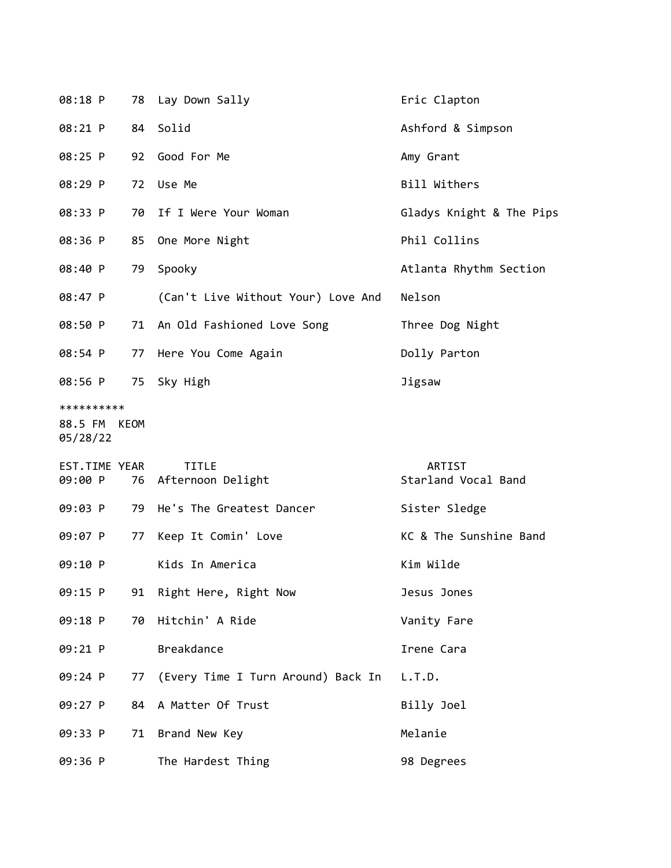| 08:18 P                                |    | 78 Lay Down Sally                    | Eric Clapton                  |
|----------------------------------------|----|--------------------------------------|-------------------------------|
| 08:21 P                                | 84 | Solid                                | Ashford & Simpson             |
| 08:25 P                                | 92 | Good For Me                          | Amy Grant                     |
| 08:29 P                                | 72 | Use Me                               | Bill Withers                  |
| 08:33 P                                | 70 | If I Were Your Woman                 | Gladys Knight & The Pips      |
| 08:36 P                                | 85 | One More Night                       | Phil Collins                  |
| 08:40 P                                | 79 | Spooky                               | Atlanta Rhythm Section        |
| 08:47 P                                |    | (Can't Live Without Your) Love And   | Nelson                        |
| 08:50 P                                | 71 | An Old Fashioned Love Song           | Three Dog Night               |
| 08:54 P                                | 77 | Here You Come Again                  | Dolly Parton                  |
| 08:56 P                                | 75 | Sky High                             | Jigsaw                        |
| **********<br>88.5 FM KEOM<br>05/28/22 |    |                                      |                               |
| EST.TIME YEAR<br>09:00 P               |    | <b>TITLE</b><br>76 Afternoon Delight | ARTIST<br>Starland Vocal Band |
| 09:03 P                                | 79 | He's The Greatest Dancer             | Sister Sledge                 |
| 09:07 P                                | 77 | Keep It Comin' Love                  | KC & The Sunshine Band        |
| 09:10 P                                |    | Kids In America                      | Kim Wilde                     |
| 09:15 P                                |    | 91 Right Here, Right Now             | Jesus Jones                   |
| 09:18 P                                | 70 | Hitchin' A Ride                      | Vanity Fare                   |
| 09:21 P                                |    | <b>Breakdance</b>                    | Irene Cara                    |
| 09:24 P                                | 77 | (Every Time I Turn Around) Back In   | L.T.D.                        |
| 09:27 P                                | 84 | A Matter Of Trust                    | Billy Joel                    |
| 09:33 P                                | 71 | Brand New Key                        | Melanie                       |
| 09:36 P                                |    | The Hardest Thing                    | 98 Degrees                    |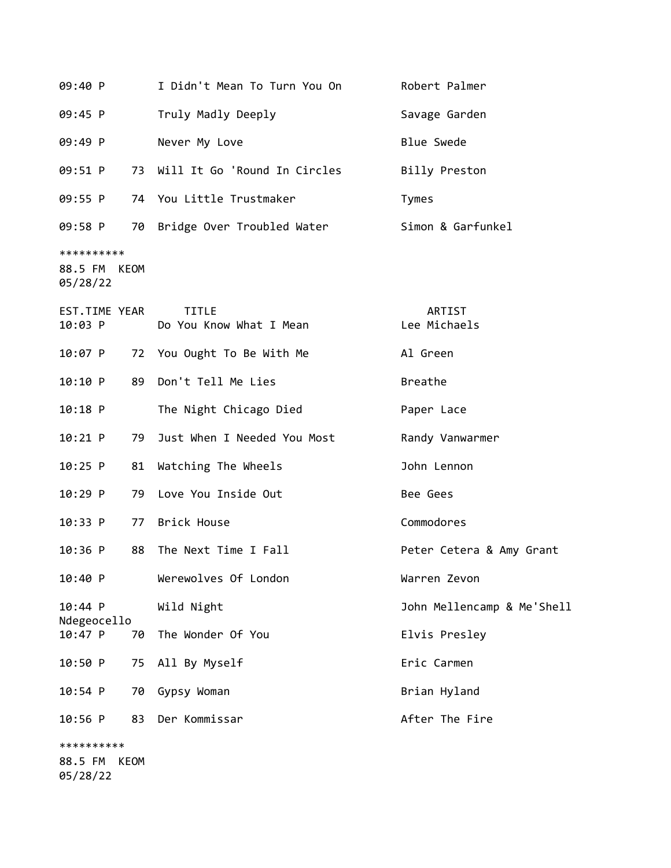| 09:40 P                                | I Didn't Mean To Turn You On            | Robert Palmer              |
|----------------------------------------|-----------------------------------------|----------------------------|
| 09:45 P                                | Truly Madly Deeply                      | Savage Garden              |
| 09:49 P                                | Never My Love                           | <b>Blue Swede</b>          |
| 09:51 P<br>73                          | Will It Go 'Round In Circles            | Billy Preston              |
| 09:55 P                                | 74 You Little Trustmaker                | Tymes                      |
| 09:58 P                                | 70 Bridge Over Troubled Water           | Simon & Garfunkel          |
| **********<br>88.5 FM KEOM<br>05/28/22 |                                         |                            |
| EST.TIME YEAR<br>10:03 P               | <b>TITLE</b><br>Do You Know What I Mean | ARTIST<br>Lee Michaels     |
| $10:07$ P                              | 72 You Ought To Be With Me              | Al Green                   |
| 10:10 P<br>89                          | Don't Tell Me Lies                      | <b>Breathe</b>             |
| $10:18$ P                              | The Night Chicago Died                  | Paper Lace                 |
| $10:21$ P<br>79                        | Just When I Needed You Most             | Randy Vanwarmer            |
| $10:25$ P<br>81                        | Watching The Wheels                     | John Lennon                |
| $10:29$ P<br>79                        | Love You Inside Out                     | Bee Gees                   |
| 10:33 P<br>77                          | Brick House                             | Commodores                 |
| $10:36$ P<br>88                        | The Next Time I Fall                    | Peter Cetera & Amy Grant   |
| 10:40 P                                | Werewolves Of London                    | Warren Zevon               |
| 10:44 P<br>Ndegeocello                 | Wild Night                              | John Mellencamp & Me'Shell |
| 10:47 P<br>70                          | The Wonder Of You                       | Elvis Presley              |
| 10:50 P<br>75                          | All By Myself                           | Eric Carmen                |
| 10:54 P<br>70                          | Gypsy Woman                             | Brian Hyland               |
| 83<br>$10:56$ P                        | Der Kommissar                           | After The Fire             |
| **********<br>88.5 FM<br>KEOM          |                                         |                            |

05/28/22